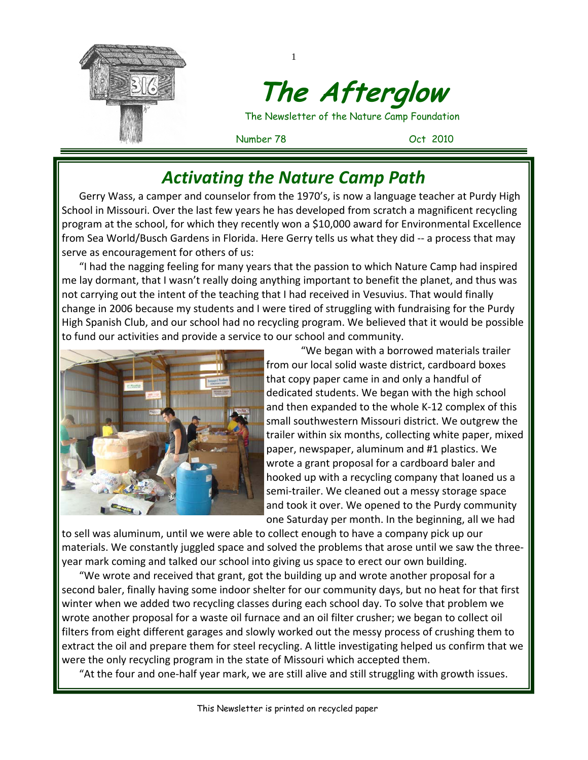

# **The Afterglow**

The Newsletter of the Nature Camp Foundation

Number 78 Oct 2010

# *Activating the Nature Camp Path*

1

Gerry Wass, a camper and counselor from the 1970's, is now a language teacher at Purdy High School in Missouri. Over the last few years he has developed from scratch a magnificent recycling program at the school, for which they recently won a \$10,000 award for Environmental Excellence from Sea World/Busch Gardens in Florida. Here Gerry tells us what they did ‐‐ a process that may serve as encouragement for others of us:

"I had the nagging feeling for many years that the passion to which Nature Camp had inspired me lay dormant, that I wasn't really doing anything important to benefit the planet, and thus was not carrying out the intent of the teaching that I had received in Vesuvius. That would finally change in 2006 because my students and I were tired of struggling with fundraising for the Purdy High Spanish Club, and our school had no recycling program. We believed that it would be possible to fund our activities and provide a service to our school and community.



"We began with a borrowed materials trailer from our local solid waste district, cardboard boxes that copy paper came in and only a handful of dedicated students. We began with the high school and then expanded to the whole K‐12 complex of this small southwestern Missouri district. We outgrew the trailer within six months, collecting white paper, mixed paper, newspaper, aluminum and #1 plastics. We wrote a grant proposal for a cardboard baler and hooked up with a recycling company that loaned us a semi-trailer. We cleaned out a messy storage space and took it over. We opened to the Purdy community one Saturday per month. In the beginning, all we had

to sell was aluminum, until we were able to collect enough to have a company pick up our materials. We constantly juggled space and solved the problems that arose until we saw the three‐ year mark coming and talked our school into giving us space to erect our own building.

"We wrote and received that grant, got the building up and wrote another proposal for a second baler, finally having some indoor shelter for our community days, but no heat for that first winter when we added two recycling classes during each school day. To solve that problem we wrote another proposal for a waste oil furnace and an oil filter crusher; we began to collect oil filters from eight different garages and slowly worked out the messy process of crushing them to extract the oil and prepare them for steel recycling. A little investigating helped us confirm that we were the only recycling program in the state of Missouri which accepted them.

"At the four and one‐half year mark, we are still alive and still struggling with growth issues.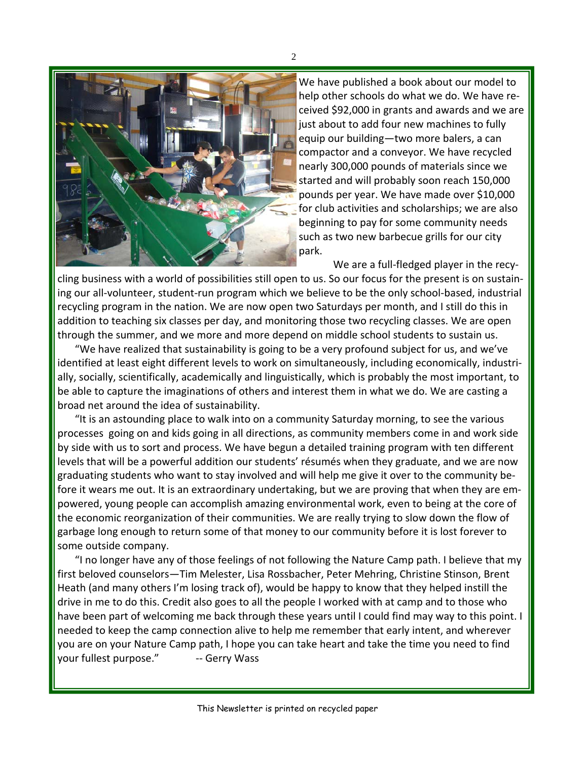

We have published a book about our model to help other schools do what we do. We have re‐ ceived \$92,000 in grants and awards and we are just about to add four new machines to fully equip our building—two more balers, a can compactor and a conveyor. We have recycled nearly 300,000 pounds of materials since we started and will probably soon reach 150,000 pounds per year. We have made over \$10,000 for club activities and scholarships; we are also beginning to pay for some community needs such as two new barbecue grills for our city park.

We are a full-fledged player in the recycling business with a world of possibilities still open to us. So our focus for the present is on sustain‐ ing our all‐volunteer, student‐run program which we believe to be the only school‐based, industrial recycling program in the nation. We are now open two Saturdays per month, and I still do this in addition to teaching six classes per day, and monitoring those two recycling classes. We are open through the summer, and we more and more depend on middle school students to sustain us.

"We have realized that sustainability is going to be a very profound subject for us, and we've identified at least eight different levels to work on simultaneously, including economically, industri‐ ally, socially, scientifically, academically and linguistically, which is probably the most important, to be able to capture the imaginations of others and interest them in what we do. We are casting a broad net around the idea of sustainability.

"It is an astounding place to walk into on a community Saturday morning, to see the various processes going on and kids going in all directions, as community members come in and work side by side with us to sort and process. We have begun a detailed training program with ten different levels that will be a powerful addition our students' résumés when they graduate, and we are now graduating students who want to stay involved and will help me give it over to the community be‐ fore it wears me out. It is an extraordinary undertaking, but we are proving that when they are empowered, young people can accomplish amazing environmental work, even to being at the core of the economic reorganization of their communities. We are really trying to slow down the flow of garbage long enough to return some of that money to our community before it is lost forever to some outside company.

"I no longer have any of those feelings of not following the Nature Camp path. I believe that my first beloved counselors—Tim Melester, Lisa Rossbacher, Peter Mehring, Christine Stinson, Brent Heath (and many others I'm losing track of), would be happy to know that they helped instill the drive in me to do this. Credit also goes to all the people I worked with at camp and to those who have been part of welcoming me back through these years until I could find may way to this point. I needed to keep the camp connection alive to help me remember that early intent, and wherever you are on your Nature Camp path, I hope you can take heart and take the time you need to find your fullest purpose." -- Gerry Wass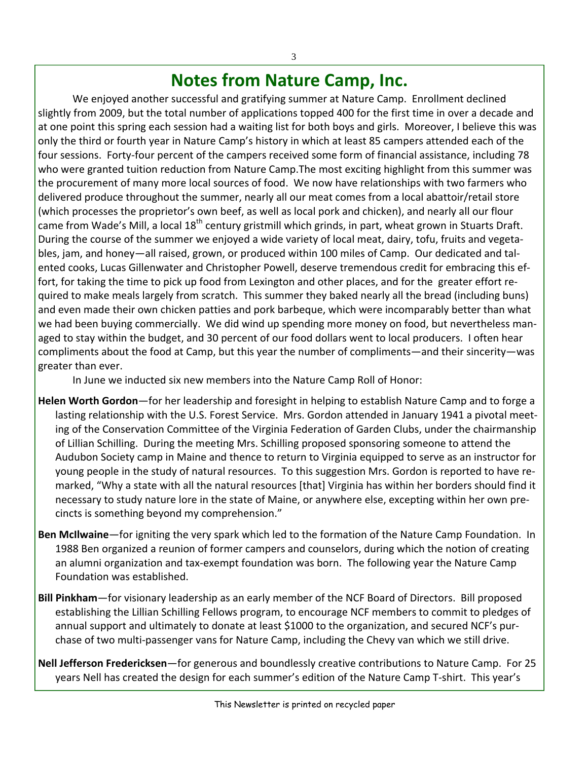#### **Notes from Nature Camp, Inc.**

We enjoyed another successful and gratifying summer at Nature Camp. Enrollment declined slightly from 2009, but the total number of applications topped 400 for the first time in over a decade and at one point this spring each session had a waiting list for both boys and girls. Moreover, I believe this was only the third or fourth year in Nature Camp's history in which at least 85 campers attended each of the four sessions. Forty‐four percent of the campers received some form of financial assistance, including 78 who were granted tuition reduction from Nature Camp.The most exciting highlight from this summer was the procurement of many more local sources of food. We now have relationships with two farmers who delivered produce throughout the summer, nearly all our meat comes from a local abattoir/retail store (which processes the proprietor's own beef, as well as local pork and chicken), and nearly all our flour came from Wade's Mill, a local 18<sup>th</sup> century gristmill which grinds, in part, wheat grown in Stuarts Draft. During the course of the summer we enjoyed a wide variety of local meat, dairy, tofu, fruits and vegeta‐ bles, jam, and honey—all raised, grown, or produced within 100 miles of Camp. Our dedicated and talented cooks, Lucas Gillenwater and Christopher Powell, deserve tremendous credit for embracing this ef‐ fort, for taking the time to pick up food from Lexington and other places, and for the greater effort required to make meals largely from scratch. This summer they baked nearly all the bread (including buns) and even made their own chicken patties and pork barbeque, which were incomparably better than what we had been buying commercially. We did wind up spending more money on food, but nevertheless managed to stay within the budget, and 30 percent of our food dollars went to local producers. I often hear compliments about the food at Camp, but this year the number of compliments—and their sincerity—was greater than ever.

In June we inducted six new members into the Nature Camp Roll of Honor:

- **Helen Worth Gordon**—for her leadership and foresight in helping to establish Nature Camp and to forge a lasting relationship with the U.S. Forest Service. Mrs. Gordon attended in January 1941 a pivotal meet‐ ing of the Conservation Committee of the Virginia Federation of Garden Clubs, under the chairmanship of Lillian Schilling. During the meeting Mrs. Schilling proposed sponsoring someone to attend the Audubon Society camp in Maine and thence to return to Virginia equipped to serve as an instructor for young people in the study of natural resources. To this suggestion Mrs. Gordon is reported to have re‐ marked, "Why a state with all the natural resources [that] Virginia has within her borders should find it necessary to study nature lore in the state of Maine, or anywhere else, excepting within her own pre‐ cincts is something beyond my comprehension."
- **Ben McIlwaine**—for igniting the very spark which led to the formation of the Nature Camp Foundation. In 1988 Ben organized a reunion of former campers and counselors, during which the notion of creating an alumni organization and tax‐exempt foundation was born. The following year the Nature Camp Foundation was established.
- **Bill Pinkham**—for visionary leadership as an early member of the NCF Board of Directors. Bill proposed establishing the Lillian Schilling Fellows program, to encourage NCF members to commit to pledges of annual support and ultimately to donate at least \$1000 to the organization, and secured NCF's pur‐ chase of two multi‐passenger vans for Nature Camp, including the Chevy van which we still drive.

**Nell Jefferson Fredericksen**—for generous and boundlessly creative contributions to Nature Camp. For 25 years Nell has created the design for each summer's edition of the Nature Camp T‐shirt. This year's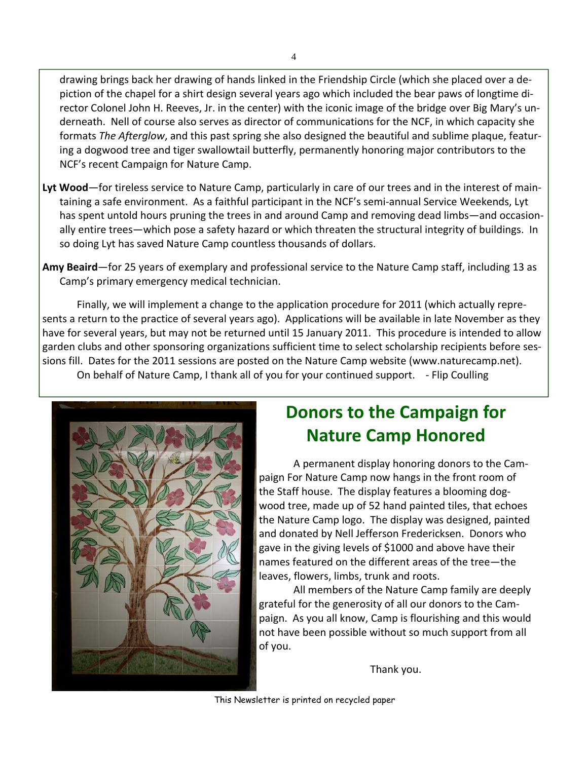drawing brings back her drawing of hands linked in the Friendship Circle (which she placed over a de‐ piction of the chapel for a shirt design several years ago which included the bear paws of longtime di‐ rector Colonel John H. Reeves, Jr. in the center) with the iconic image of the bridge over Big Mary's un‐ derneath. Nell of course also serves as director of communications for the NCF, in which capacity she formats *The Afterglow*, and this past spring she also designed the beautiful and sublime plaque, featur‐ ing a dogwood tree and tiger swallowtail butterfly, permanently honoring major contributors to the NCF's recent Campaign for Nature Camp.

- **Lyt Wood**—for tireless service to Nature Camp, particularly in care of our trees and in the interest of main‐ taining a safe environment. As a faithful participant in the NCF's semi‐annual Service Weekends, Lyt has spent untold hours pruning the trees in and around Camp and removing dead limbs—and occasionally entire trees—which pose a safety hazard or which threaten the structural integrity of buildings. In so doing Lyt has saved Nature Camp countless thousands of dollars.
- **Amy Beaird**—for 25 years of exemplary and professional service to the Nature Camp staff, including 13 as Camp's primary emergency medical technician.

Finally, we will implement a change to the application procedure for 2011 (which actually repre‐ sents a return to the practice of several years ago). Applications will be available in late November as they have for several years, but may not be returned until 15 January 2011. This procedure is intended to allow garden clubs and other sponsoring organizations sufficient time to select scholarship recipients before ses‐ sions fill. Dates for the 2011 sessions are posted on the Nature Camp website (www.naturecamp.net).

On behalf of Nature Camp, I thank all of you for your continued support. ‐ Flip Coulling



### **Donors to the Campaign for Nature Camp Honored**

A permanent display honoring donors to the Cam‐ paign For Nature Camp now hangs in the front room of the Staff house. The display features a blooming dog‐ wood tree, made up of 52 hand painted tiles, that echoes the Nature Camp logo. The display was designed, painted and donated by Nell Jefferson Fredericksen. Donors who gave in the giving levels of \$1000 and above have their names featured on the different areas of the tree—the leaves, flowers, limbs, trunk and roots.

All members of the Nature Camp family are deeply grateful for the generosity of all our donors to the Cam‐ paign. As you all know, Camp is flourishing and this would not have been possible without so much support from all of you.

Thank you.

This Newsletter is printed on recycled paper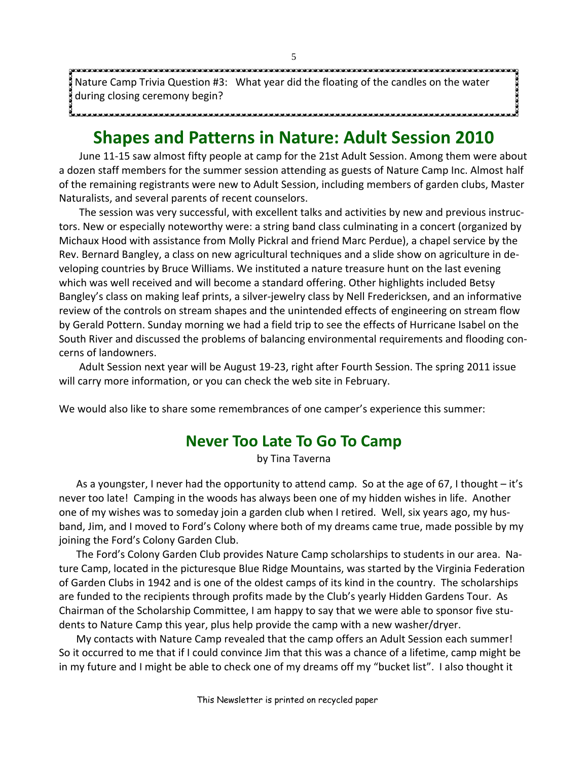Nature Camp Trivia Question #3: What year did the floating of the candles on the water during closing ceremony begin?

#### **Shapes and Patterns in Nature: Adult Session 2010**

June 11‐15 saw almost fifty people at camp for the 21st Adult Session. Among them were about a dozen staff members for the summer session attending as guests of Nature Camp Inc. Almost half of the remaining registrants were new to Adult Session, including members of garden clubs, Master Naturalists, and several parents of recent counselors.

The session was very successful, with excellent talks and activities by new and previous instruc‐ tors. New or especially noteworthy were: a string band class culminating in a concert (organized by Michaux Hood with assistance from Molly Pickral and friend Marc Perdue), a chapel service by the Rev. Bernard Bangley, a class on new agricultural techniques and a slide show on agriculture in de‐ veloping countries by Bruce Williams. We instituted a nature treasure hunt on the last evening which was well received and will become a standard offering. Other highlights included Betsy Bangley's class on making leaf prints, a silver‐jewelry class by Nell Fredericksen, and an informative review of the controls on stream shapes and the unintended effects of engineering on stream flow by Gerald Pottern. Sunday morning we had a field trip to see the effects of Hurricane Isabel on the South River and discussed the problems of balancing environmental requirements and flooding con‐ cerns of landowners.

Adult Session next year will be August 19‐23, right after Fourth Session. The spring 2011 issue will carry more information, or you can check the web site in February.

We would also like to share some remembrances of one camper's experience this summer:

#### **Never Too Late To Go To Camp**

by Tina Taverna

As a youngster, I never had the opportunity to attend camp. So at the age of 67, I thought – it's never too late! Camping in the woods has always been one of my hidden wishes in life. Another one of my wishes was to someday join a garden club when I retired. Well, six years ago, my husband, Jim, and I moved to Ford's Colony where both of my dreams came true, made possible by my joining the Ford's Colony Garden Club.

 The Ford's Colony Garden Club provides Nature Camp scholarships to students in our area. Na‐ ture Camp, located in the picturesque Blue Ridge Mountains, was started by the Virginia Federation of Garden Clubs in 1942 and is one of the oldest camps of its kind in the country. The scholarships are funded to the recipients through profits made by the Club's yearly Hidden Gardens Tour. As Chairman of the Scholarship Committee, I am happy to say that we were able to sponsor five stu‐ dents to Nature Camp this year, plus help provide the camp with a new washer/dryer.

 My contacts with Nature Camp revealed that the camp offers an Adult Session each summer! So it occurred to me that if I could convince Jim that this was a chance of a lifetime, camp might be in my future and I might be able to check one of my dreams off my "bucket list". I also thought it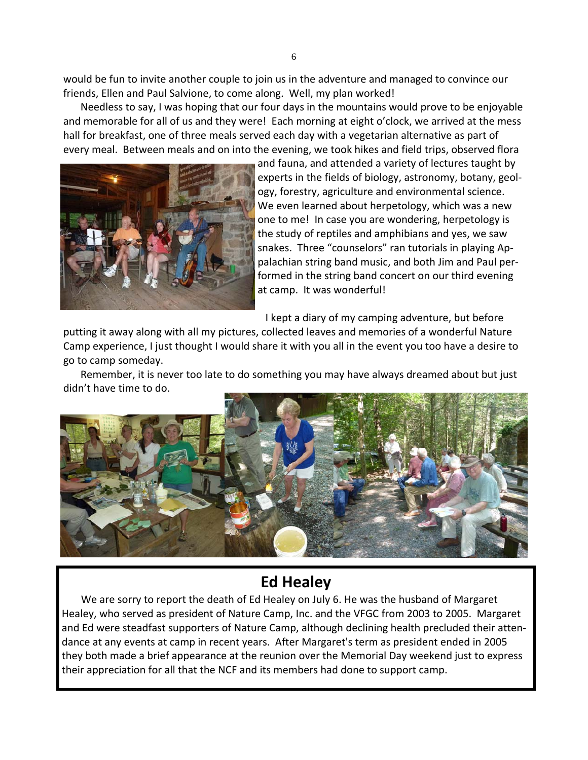would be fun to invite another couple to join us in the adventure and managed to convince our friends, Ellen and Paul Salvione, to come along. Well, my plan worked!

 Needless to say, I was hoping that our four days in the mountains would prove to be enjoyable and memorable for all of us and they were! Each morning at eight o'clock, we arrived at the mess hall for breakfast, one of three meals served each day with a vegetarian alternative as part of every meal. Between meals and on into the evening, we took hikes and field trips, observed flora



and fauna, and attended a variety of lectures taught by experts in the fields of biology, astronomy, botany, geol‐ ogy, forestry, agriculture and environmental science. We even learned about herpetology, which was a new one to me! In case you are wondering, herpetology is the study of reptiles and amphibians and yes, we saw snakes. Three "counselors" ran tutorials in playing Ap‐ palachian string band music, and both Jim and Paul per‐ formed in the string band concert on our third evening at camp. It was wonderful!

I kept a diary of my camping adventure, but before

putting it away along with all my pictures, collected leaves and memories of a wonderful Nature Camp experience, I just thought I would share it with you all in the event you too have a desire to go to camp someday.

 Remember, it is never too late to do something you may have always dreamed about but just didn't have time to do.



#### **Ed Healey**

We are sorry to report the death of Ed Healey on July 6. He was the husband of Margaret Healey, who served as president of Nature Camp, Inc. and the VFGC from 2003 to 2005. Margaret and Ed were steadfast supporters of Nature Camp, although declining health precluded their atten‐ dance at any events at camp in recent years. After Margaret's term as president ended in 2005 they both made a brief appearance at the reunion over the Memorial Day weekend just to express their appreciation for all that the NCF and its members had done to support camp.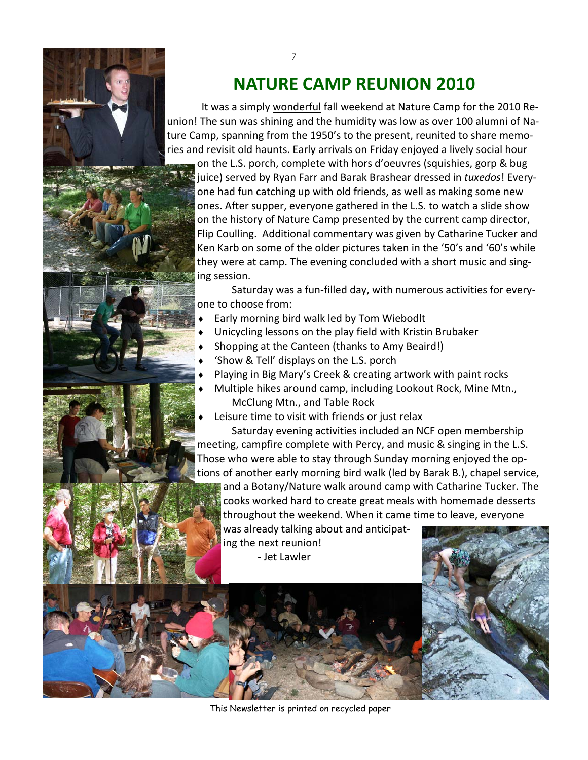

# **NATURE CAMP REUNION 2010**

It was a simply wonderful fall weekend at Nature Camp for the 2010 Reunion! The sun was shining and the humidity was low as over 100 alumni of Na‐ ture Camp, spanning from the 1950's to the present, reunited to share memo‐ ries and revisit old haunts. Early arrivals on Friday enjoyed a lively social hour

on the L.S. porch, complete with hors d'oeuvres (squishies, gorp & bug juice) served by Ryan Farr and Barak Brashear dressed in *tuxedos*! Every‐ one had fun catching up with old friends, as well as making some new ones. After supper, everyone gathered in the L.S. to watch a slide show on the history of Nature Camp presented by the current camp director, Flip Coulling. Additional commentary was given by Catharine Tucker and Ken Karb on some of the older pictures taken in the '50's and '60's while they were at camp. The evening concluded with a short music and sing‐ ing session.

Saturday was a fun‐filled day, with numerous activities for every‐ one to choose from:

- Early morning bird walk led by Tom Wiebodlt
- Unicycling lessons on the play field with Kristin Brubaker
- Shopping at the Canteen (thanks to Amy Beaird!)
- 'Show & Tell' displays on the L.S. porch
- Playing in Big Mary's Creek & creating artwork with paint rocks
- Multiple hikes around camp, including Lookout Rock, Mine Mtn., McClung Mtn., and Table Rock
- Leisure time to visit with friends or just relax

Saturday evening activities included an NCF open membership meeting, campfire complete with Percy, and music & singing in the L.S. Those who were able to stay through Sunday morning enjoyed the op‐ tions of another early morning bird walk (led by Barak B.), chapel service, and a Botany/Nature walk around camp with Catharine Tucker. The cooks worked hard to create great meals with homemade desserts throughout the weekend. When it came time to leave, everyone was already talking about and anticipat‐

ing the next reunion! ‐ Jet Lawler



This Newsletter is printed on recycled paper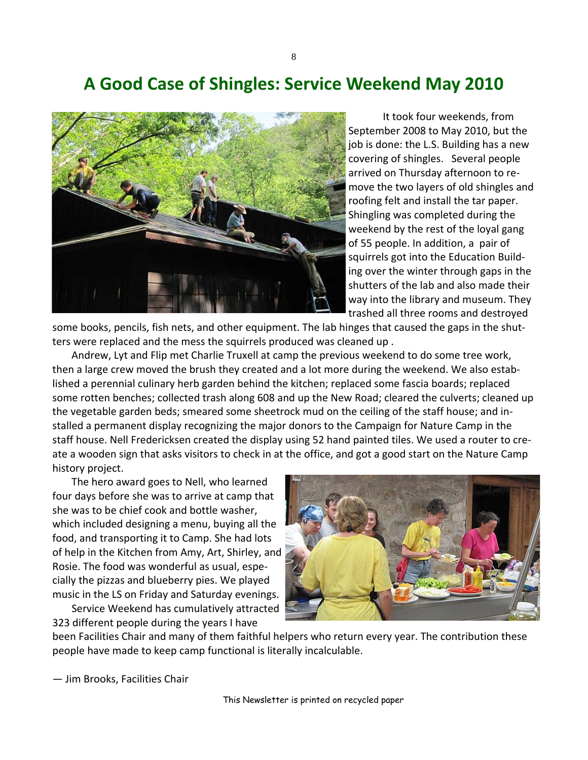8

#### **A Good Case of Shingles: Service Weekend May 2010**



It took four weekends, from September 2008 to May 2010, but the job is done: the L.S. Building has a new covering of shingles. Several people arrived on Thursday afternoon to re‐ move the two layers of old shingles and roofing felt and install the tar paper. Shingling was completed during the weekend by the rest of the loyal gang of 55 people. In addition, a pair of squirrels got into the Education Build‐ ing over the winter through gaps in the shutters of the lab and also made their way into the library and museum. They trashed all three rooms and destroyed

some books, pencils, fish nets, and other equipment. The lab hinges that caused the gaps in the shutters were replaced and the mess the squirrels produced was cleaned up .

Andrew, Lyt and Flip met Charlie Truxell at camp the previous weekend to do some tree work, then a large crew moved the brush they created and a lot more during the weekend. We also estab‐ lished a perennial culinary herb garden behind the kitchen; replaced some fascia boards; replaced some rotten benches; collected trash along 608 and up the New Road; cleared the culverts; cleaned up the vegetable garden beds; smeared some sheetrock mud on the ceiling of the staff house; and in‐ stalled a permanent display recognizing the major donors to the Campaign for Nature Camp in the staff house. Nell Fredericksen created the display using 52 hand painted tiles. We used a router to cre‐ ate a wooden sign that asks visitors to check in at the office, and got a good start on the Nature Camp history project.

The hero award goes to Nell, who learned four days before she was to arrive at camp that she was to be chief cook and bottle washer, which included designing a menu, buying all the food, and transporting it to Camp. She had lots of help in the Kitchen from Amy, Art, Shirley, and Rosie. The food was wonderful as usual, espe‐ cially the pizzas and blueberry pies. We played music in the LS on Friday and Saturday evenings.

Service Weekend has cumulatively attracted 323 different people during the years I have



been Facilities Chair and many of them faithful helpers who return every year. The contribution these people have made to keep camp functional is literally incalculable.

— Jim Brooks, Facilities Chair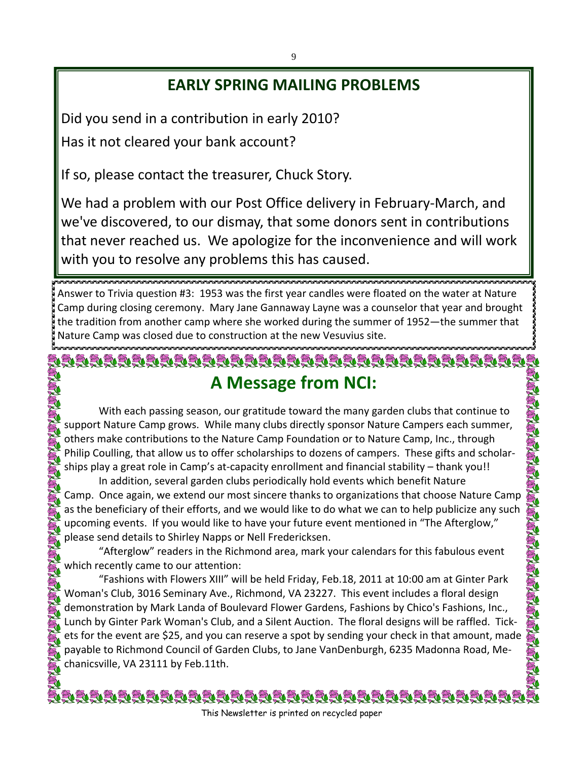#### **EARLY SPRING MAILING PROBLEMS**

Did you send in a contribution in early 2010? Has it not cleared your bank account?

If so, please contact the treasurer, Chuck Story.

We had a problem with our Post Office delivery in February‐March, and we've discovered, to our dismay, that some donors sent in contributions that never reached us. We apologize for the inconvenience and will work with you to resolve any problems this has caused.

Answer to Trivia question #3: 1953 was the first year candles were floated on the water at Nature Camp during closing ceremony. Mary Jane Gannaway Layne was a counselor that year and brought the tradition from another camp where she worked during the summer of 1952—the summer that Nature Camp was closed due to construction at the new Vesuvius site.

## <u>DDDDDDDDDDDDDDDDDDDDDDDDDDDDDD</u> **A Message from NCI:**

With each passing season, our gratitude toward the many garden clubs that continue to support Nature Camp grows. While many clubs directly sponsor Nature Campers each summer, others make contributions to the Nature Camp Foundation or to Nature Camp, Inc., through Philip Coulling, that allow us to offer scholarships to dozens of campers. These gifts and scholar‐ ships play a great role in Camp's at-capacity enrollment and financial stability – thank you!!

**ENENENENENE** In addition, several garden clubs periodically hold events which benefit Nature Camp. Once again, we extend our most sincere thanks to organizations that choose Nature Camp as the beneficiary of their efforts, and we would like to do what we can to help publicize any such upcoming events. If you would like to have your future event mentioned in "The Afterglow," please send details to Shirley Napps or Nell Fredericksen.

"Afterglow" readers in the Richmond area, mark your calendars for this fabulous event which recently came to our attention:

"Fashions with Flowers XIII" will be held Friday, Feb.18, 2011 at 10:00 am at Ginter Park Woman's Club, 3016 Seminary Ave., Richmond, VA 23227. This event includes a floral design demonstration by Mark Landa of Boulevard Flower Gardens, Fashions by Chico's Fashions, Inc., Lunch by Ginter Park Woman's Club, and a Silent Auction. The floral designs will be raffled. Tick‐ ets for the event are \$25, and you can reserve a spot by sending your check in that amount, made payable to Richmond Council of Garden Clubs, to Jane VanDenburgh, 6235 Madonna Road, Me‐ chanicsville, VA 23111 by Feb.11th.

<u>dra dar bar bar bar bar bar bar bar bar ba</u> This Newsletter is printed on recycled paper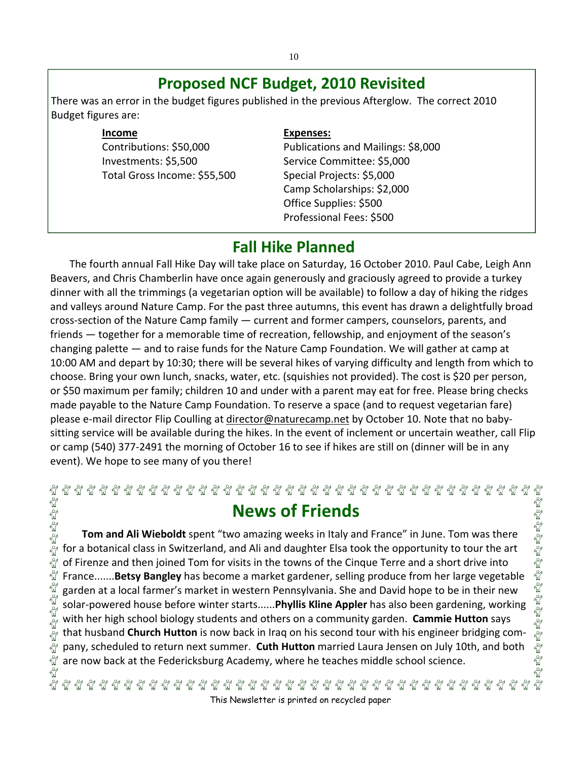#### **Proposed NCF Budget, 2010 Revisited**

There was an error in the budget figures published in the previous Afterglow. The correct 2010 Budget figures are:

**Income**

นี้

Contributions: \$50,000 Investments: \$5,500 Total Gross Income: \$55,500

#### **Expenses:**

Publications and Mailings: \$8,000 Service Committee: \$5,000 Special Projects: \$5,000 Camp Scholarships: \$2,000 Office Supplies: \$500 Professional Fees: \$500

#### **Fall Hike Planned**

The fourth annual Fall Hike Day will take place on Saturday, 16 October 2010. Paul Cabe, Leigh Ann Beavers, and Chris Chamberlin have once again generously and graciously agreed to provide a turkey dinner with all the trimmings (a vegetarian option will be available) to follow a day of hiking the ridges and valleys around Nature Camp. For the past three autumns, this event has drawn a delightfully broad cross‐section of the Nature Camp family — current and former campers, counselors, parents, and friends — together for a memorable time of recreation, fellowship, and enjoyment of the season's changing palette — and to raise funds for the Nature Camp Foundation. We will gather at camp at 10:00 AM and depart by 10:30; there will be several hikes of varying difficulty and length from which to choose. Bring your own lunch, snacks, water, etc. (squishies not provided). The cost is \$20 per person, or \$50 maximum per family; children 10 and under with a parent may eat for free. Please bring checks made payable to the Nature Camp Foundation. To reserve a space (and to request vegetarian fare) please e-mail director Flip Coulling at director@naturecamp.net by October 10. Note that no babysitting service will be available during the hikes. In the event of inclement or uncertain weather, call Flip or camp (540) 377‐2491 the morning of October 16 to see if hikes are still on (dinner will be in any event). We hope to see many of you there!

# 부 사 사 사 사  $\mathbb{E}_\mathbb{Q}^n$   $\mathbb{E}_\mathbb{Q}^n$   $\mathbb{E}_\mathbb{Q}^n$   $\mathbb{E}_\mathbb{Q}^n$   $\mathbb{E}_\mathbb{Q}^n$   $\mathbb{E}_\mathbb{Q}^n$   $\mathbb{E}_\mathbb{Q}^n$   $\mathbb{E}_\mathbb{Q}^n$   $\mathbb{E}_\mathbb{Q}^n$   $\mathbb{E}_\mathbb{Q}^n$   $\mathbb{E}_\mathbb{Q}^n$ **News of Friends**

**Tom and Ali Wieboldt** spent "two amazing weeks in Italy and France" in June. Tom was there for a botanical class in Switzerland, and Ali and daughter Elsa took the opportunity to tour the art Egelgelgelgelgel of Firenze and then joined Tom for visits in the towns of the Cinque Terre and a short drive into France.......**Betsy Bangley** has become a market gardener, selling produce from her large vegetable garden at a local farmer's market in western Pennsylvania. She and David hope to be in their new solar‐powered house before winter starts......**Phyllis Kline Appler** has also been gardening, working with her high school biology students and others on a community garden. **Cammie Hutton** says ัน<br>ผู้ that husband **Church Hutton** is now back in Iraq on his second tour with his engineer bridging com‐  $\frac{1}{2}$ pany, scheduled to return next summer. **Cuth Hutton** married Laura Jensen on July 10th, and both Ñ are now back at the Federicksburg Academy, where he teaches middle school science.

This Newsletter is printed on recycled paper